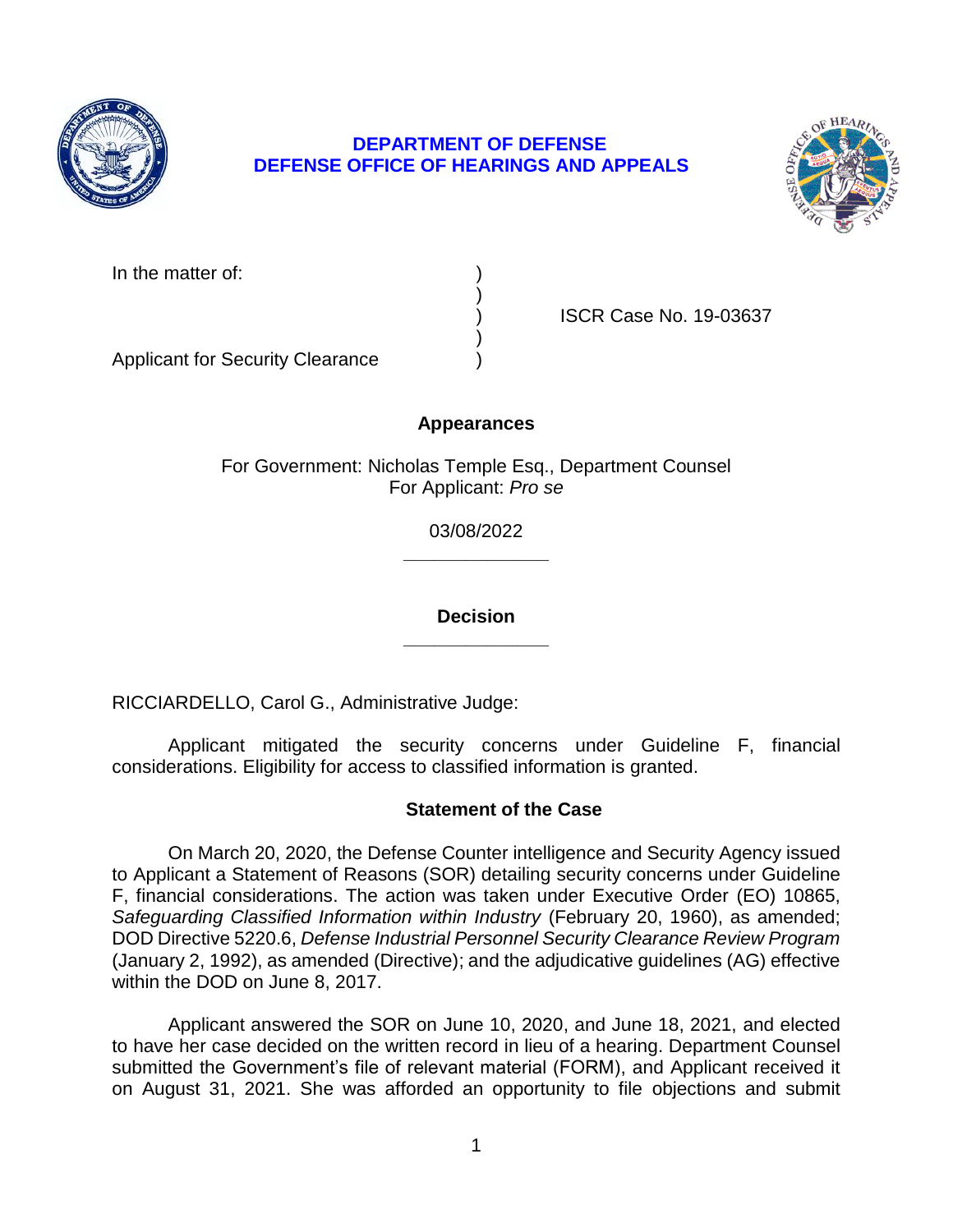

# **DEPARTMENT OF DEFENSE DEFENSE OFFICE OF HEARINGS AND APPEALS**



| In the matter of: |  |
|-------------------|--|
|                   |  |

) ISCR Case No. 19-03637

Applicant for Security Clearance )

# **Appearances**

)

)

For Government: Nicholas Temple Esq., Department Counsel For Applicant: *Pro se* 

> **\_\_\_\_\_\_\_\_\_\_\_\_\_\_**  03/08/2022

> **\_\_\_\_\_\_\_\_\_\_\_\_\_\_ Decision**

RICCIARDELLO, Carol G., Administrative Judge:

Applicant mitigated the security concerns under Guideline F, financial considerations. Eligibility for access to classified information is granted.

## **Statement of the Case**

 On March 20, 2020, the Defense Counter intelligence and Security Agency issued to Applicant a Statement of Reasons (SOR) detailing security concerns under Guideline F, financial considerations. The action was taken under Executive Order (EO) 10865, Safeguarding Classified Information within Industry (February 20, 1960), as amended;  DOD Directive 5220.6, *Defense Industrial Personnel Security Clearance Review Program*  (January 2, 1992), as amended (Directive); and the adjudicative guidelines (AG) effective within the DOD on June 8, 2017.

 Applicant answered the SOR on June 10, 2020, and June 18, 2021, and elected to have her case decided on the written record in lieu of a hearing. Department Counsel submitted the Government's file of relevant material (FORM), and Applicant received it on August 31, 2021. She was afforded an opportunity to file objections and submit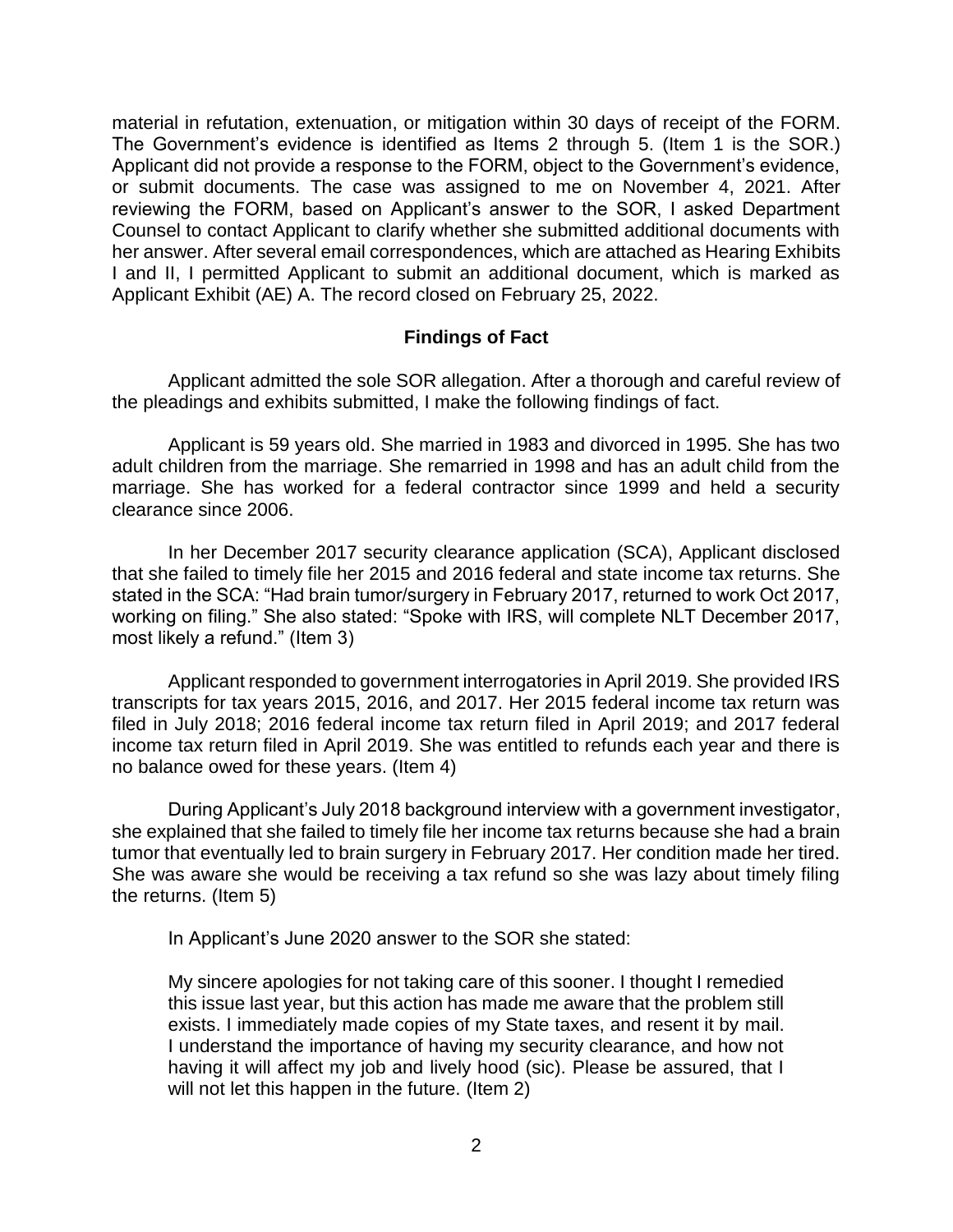material in refutation, extenuation, or mitigation within 30 days of receipt of the FORM. The Government's evidence is identified as Items 2 through 5. (Item 1 is the SOR.) Applicant did not provide a response to the FORM, object to the Government's evidence, or submit documents. The case was assigned to me on November 4, 2021. After reviewing the FORM, based on Applicant's answer to the SOR, I asked Department Counsel to contact Applicant to clarify whether she submitted additional documents with her answer. After several email correspondences, which are attached as Hearing Exhibits I and II, I permitted Applicant to submit an additional document, which is marked as Applicant Exhibit (AE) A. The record closed on February 25, 2022.

# **Findings of Fact**

 Applicant admitted the sole SOR allegation. After a thorough and careful review of the pleadings and exhibits submitted, I make the following findings of fact.

 Applicant is 59 years old. She married in 1983 and divorced in 1995. She has two adult children from the marriage. She remarried in 1998 and has an adult child from the marriage. She has worked for a federal contractor since 1999 and held a security clearance since 2006.

 In her December 2017 security clearance application (SCA), Applicant disclosed stated in the SCA: "Had brain tumor/surgery in February 2017, returned to work Oct 2017, working on filing." She also stated: "Spoke with IRS, will complete NLT December 2017, that she failed to timely file her 2015 and 2016 federal and state income tax returns. She most likely a refund." (Item 3)

 Applicant responded to government interrogatories in April 2019. She provided IRS transcripts for tax years 2015, 2016, and 2017. Her 2015 federal income tax return was filed in July 2018; 2016 federal income tax return filed in April 2019; and 2017 federal income tax return filed in April 2019. She was entitled to refunds each year and there is no balance owed for these years. (Item 4)

 During Applicant's July 2018 background interview with a government investigator, she explained that she failed to timely file her income tax returns because she had a brain tumor that eventually led to brain surgery in February 2017. Her condition made her tired. She was aware she would be receiving a tax refund so she was lazy about timely filing the returns. (Item 5)

In Applicant's June 2020 answer to the SOR she stated:

My sincere apologies for not taking care of this sooner. I thought I remedied this issue last year, but this action has made me aware that the problem still exists. I immediately made copies of my State taxes, and resent it by mail. I understand the importance of having my security clearance, and how not having it will affect my job and lively hood (sic). Please be assured, that I will not let this happen in the future. (Item 2)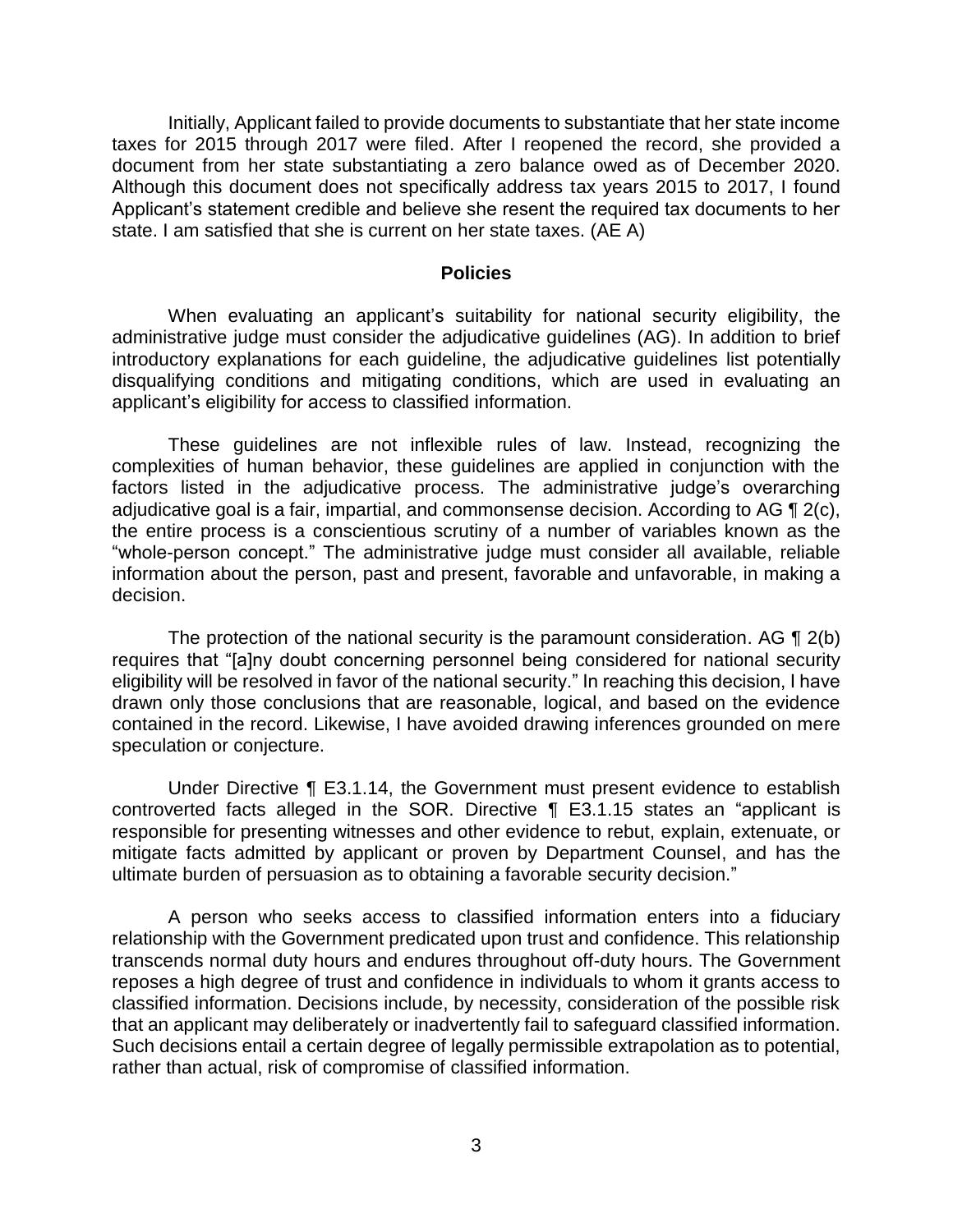Initially, Applicant failed to provide documents to substantiate that her state income taxes for 2015 through 2017 were filed. After I reopened the record, she provided a document from her state substantiating a zero balance owed as of December 2020. Although this document does not specifically address tax years 2015 to 2017, I found Applicant's statement credible and believe she resent the required tax documents to her state. I am satisfied that she is current on her state taxes. (AE A)

#### **Policies**

 administrative judge must consider the adjudicative guidelines (AG). In addition to brief introductory explanations for each guideline, the adjudicative guidelines list potentially disqualifying conditions and mitigating conditions, which are used in evaluating an When evaluating an applicant's suitability for national security eligibility, the applicant's eligibility for access to classified information.

 These guidelines are not inflexible rules of law. Instead, recognizing the complexities of human behavior, these guidelines are applied in conjunction with the factors listed in the adjudicative process. The administrative judge's overarching adjudicative goal is a fair, impartial, and commonsense decision. According to AG  $\P$  2(c), the entire process is a conscientious scrutiny of a number of variables known as the "whole-person concept." The administrative judge must consider all available, reliable information about the person, past and present, favorable and unfavorable, in making a decision.

The protection of the national security is the paramount consideration. AG  $\P$  2(b) eligibility will be resolved in favor of the national security." In reaching this decision, I have drawn only those conclusions that are reasonable, logical, and based on the evidence contained in the record. Likewise, I have avoided drawing inferences grounded on mere requires that "[a]ny doubt concerning personnel being considered for national security speculation or conjecture.

 Under Directive ¶ E3.1.14, the Government must present evidence to establish controverted facts alleged in the SOR. Directive ¶ E3.1.15 states an "applicant is responsible for presenting witnesses and other evidence to rebut, explain, extenuate, or mitigate facts admitted by applicant or proven by Department Counsel, and has the ultimate burden of persuasion as to obtaining a favorable security decision."

 A person who seeks access to classified information enters into a fiduciary relationship with the Government predicated upon trust and confidence. This relationship transcends normal duty hours and endures throughout off-duty hours. The Government reposes a high degree of trust and confidence in individuals to whom it grants access to classified information. Decisions include, by necessity, consideration of the possible risk that an applicant may deliberately or inadvertently fail to safeguard classified information. Such decisions entail a certain degree of legally permissible extrapolation as to potential, rather than actual, risk of compromise of classified information.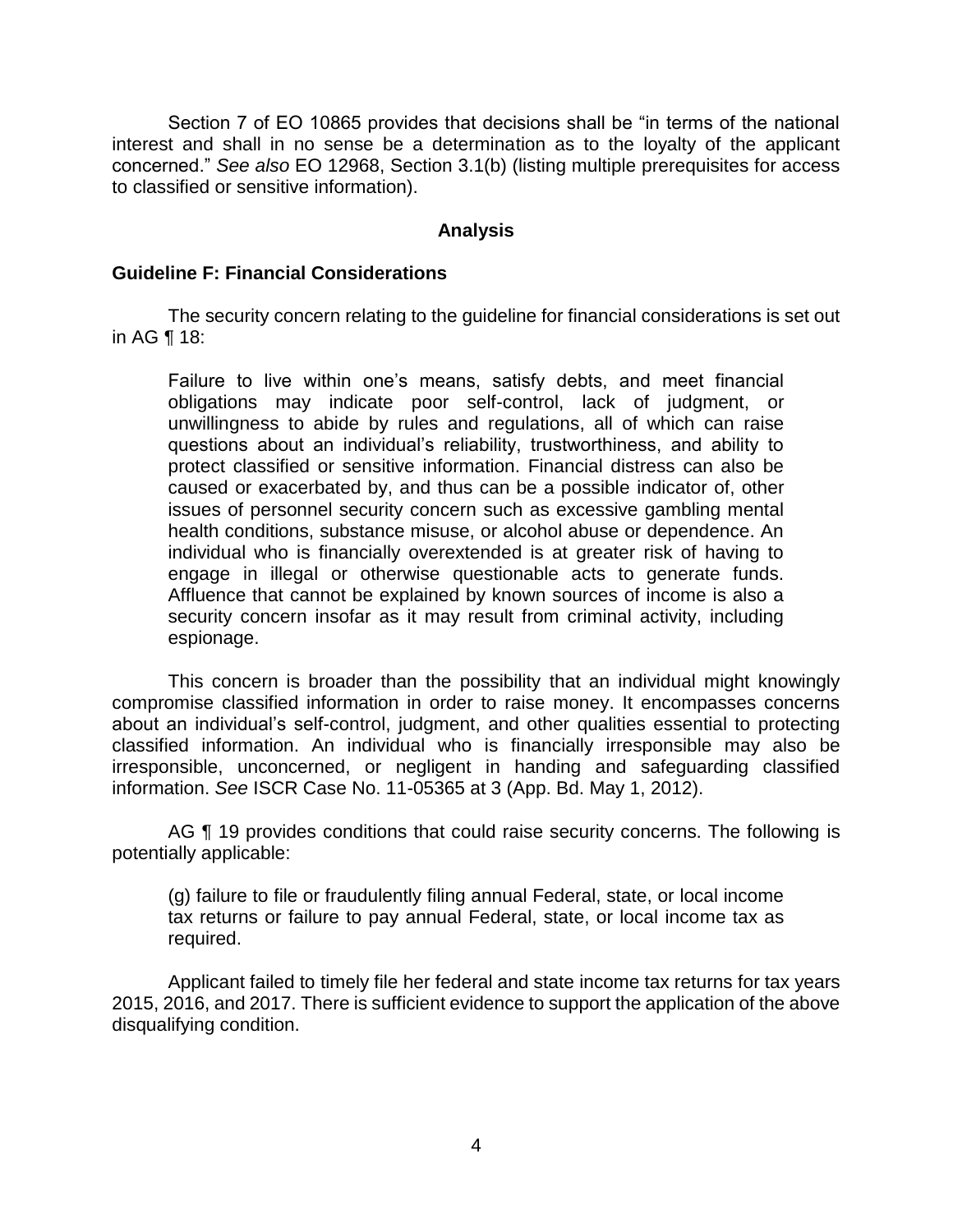Section 7 of EO 10865 provides that decisions shall be "in terms of the national interest and shall in no sense be a determination as to the loyalty of the applicant concerned." *See also* EO 12968, Section 3.1(b) (listing multiple prerequisites for access to classified or sensitive information).

### **Analysis**

#### **Guideline F: Financial Considerations**

 The security concern relating to the guideline for financial considerations is set out in AG ¶ 18:

Failure to live within one's means, satisfy debts, and meet financial obligations may indicate poor self-control, lack of judgment, or unwillingness to abide by rules and regulations, all of which can raise questions about an individual's reliability, trustworthiness, and ability to protect classified or sensitive information. Financial distress can also be caused or exacerbated by, and thus can be a possible indicator of, other issues of personnel security concern such as excessive gambling mental health conditions, substance misuse, or alcohol abuse or dependence. An individual who is financially overextended is at greater risk of having to engage in illegal or otherwise questionable acts to generate funds. Affluence that cannot be explained by known sources of income is also a security concern insofar as it may result from criminal activity, including espionage.

 This concern is broader than the possibility that an individual might knowingly compromise classified information in order to raise money. It encompasses concerns about an individual's self-control, judgment, and other qualities essential to protecting classified information. An individual who is financially irresponsible may also be irresponsible, unconcerned, or negligent in handing and safeguarding classified information. *See* ISCR Case No. 11-05365 at 3 (App. Bd. May 1, 2012).

AG ¶ 19 provides conditions that could raise security concerns. The following is potentially applicable:

 (g) failure to file or fraudulently filing annual Federal, state, or local income tax returns or failure to pay annual Federal, state, or local income tax as required.

 Applicant failed to timely file her federal and state income tax returns for tax years 2015, 2016, and 2017. There is sufficient evidence to support the application of the above disqualifying condition.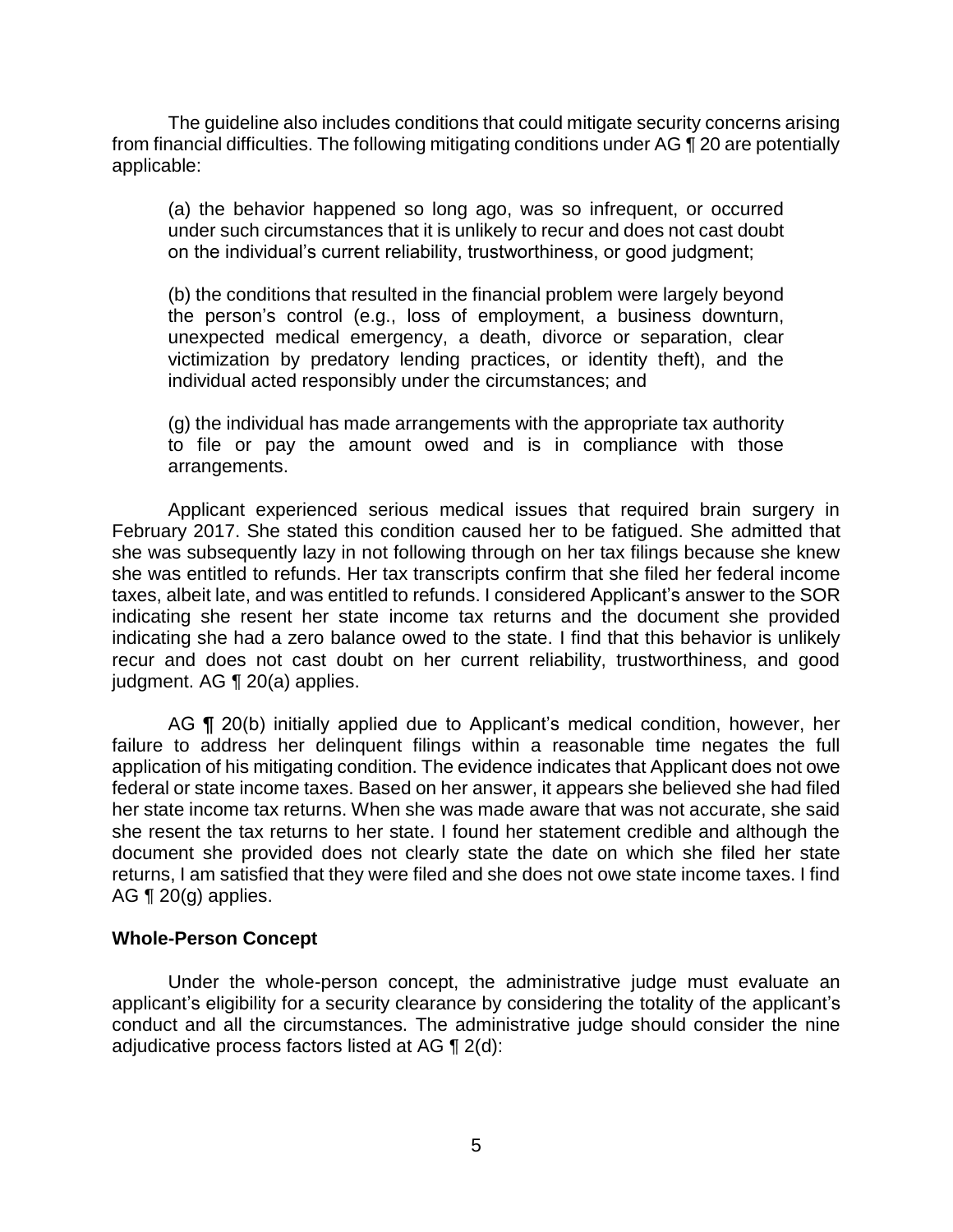The guideline also includes conditions that could mitigate security concerns arising from financial difficulties. The following mitigating conditions under AG ¶ 20 are potentially applicable:

(a) the behavior happened so long ago, was so infrequent, or occurred under such circumstances that it is unlikely to recur and does not cast doubt on the individual's current reliability, trustworthiness, or good judgment;

(b) the conditions that resulted in the financial problem were largely beyond the person's control (e.g., loss of employment, a business downturn, unexpected medical emergency, a death, divorce or separation, clear victimization by predatory lending practices, or identity theft), and the individual acted responsibly under the circumstances; and

(g) the individual has made arrangements with the appropriate tax authority to file or pay the amount owed and is in compliance with those arrangements.

 Applicant experienced serious medical issues that required brain surgery in February 2017. She stated this condition caused her to be fatigued. She admitted that she was subsequently lazy in not following through on her tax filings because she knew she was entitled to refunds. Her tax transcripts confirm that she filed her federal income taxes, albeit late, and was entitled to refunds. I considered Applicant's answer to the SOR indicating she resent her state income tax returns and the document she provided indicating she had a zero balance owed to the state. I find that this behavior is unlikely recur and does not cast doubt on her current reliability, trustworthiness, and good judgment. AG ¶ 20(a) applies.

AG ¶ 20(b) initially applied due to Applicant's medical condition, however, her failure to address her delinquent filings within a reasonable time negates the full application of his mitigating condition. The evidence indicates that Applicant does not owe federal or state income taxes. Based on her answer, it appears she believed she had filed her state income tax returns. When she was made aware that was not accurate, she said she resent the tax returns to her state. I found her statement credible and although the document she provided does not clearly state the date on which she filed her state returns, I am satisfied that they were filed and she does not owe state income taxes. I find AG  $\P$  20(g) applies.

#### **Whole-Person Concept**

 Under the whole-person concept, the administrative judge must evaluate an applicant's eligibility for a security clearance by considering the totality of the applicant's conduct and all the circumstances. The administrative judge should consider the nine adjudicative process factors listed at AG ¶ 2(d):